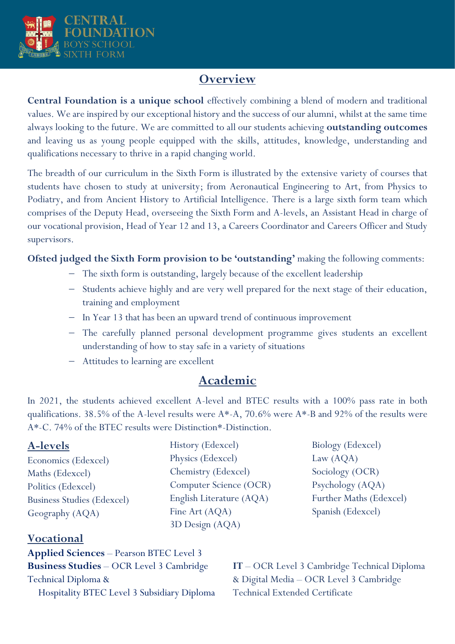

# **Overview**

**Central Foundation is a unique school** effectively combining a blend of modern and traditional values. We are inspired by our exceptional history and the success of our alumni, whilst at the same time always looking to the future. We are committed to all our students achieving **outstanding outcomes** and leaving us as young people equipped with the skills, attitudes, knowledge, understanding and qualifications necessary to thrive in a rapid changing world.

The breadth of our curriculum in the Sixth Form is illustrated by the extensive variety of courses that students have chosen to study at university; from Aeronautical Engineering to Art, from Physics to Podiatry, and from Ancient History to Artificial Intelligence. There is a large sixth form team which comprises of the Deputy Head, overseeing the Sixth Form and A-levels, an Assistant Head in charge of our vocational provision, Head of Year 12 and 13, a Careers Coordinator and Careers Officer and Study supervisors.

**Ofsted judged the Sixth Form provision to be 'outstanding'** making the following comments:

- − The sixth form is outstanding, largely because of the excellent leadership
- − Students achieve highly and are very well prepared for the next stage of their education, training and employment
- − In Year 13 that has been an upward trend of continuous improvement
- − The carefully planned personal development programme gives students an excellent understanding of how to stay safe in a variety of situations
- − Attitudes to learning are excellent

## **Academic**

In 2021, the students achieved excellent A-level and BTEC results with a 100% pass rate in both qualifications. 38.5% of the A-level results were A\*-A, 70.6% were A\*-B and 92% of the results were A\*-C. 74% of the BTEC results were Distinction\*-Distinction.

| History (Edexcel)        | Biology (Edexcel)       |
|--------------------------|-------------------------|
| Physics (Edexcel)        | Law $(AQA)$             |
| Chemistry (Edexcel)      | Sociology (OCR)         |
| Computer Science (OCR)   | Psychology (AQA)        |
| English Literature (AQA) | Further Maths (Edexcel) |
| Fine Art (AQA)           | Spanish (Edexcel)       |
| 3D Design (AQA)          |                         |
|                          |                         |

### **Vocational**

**Applied Sciences** – Pearson BTEC Level 3 **Business Studies** – OCR Level 3 Cambridge Technical Diploma & Hospitality BTEC Level 3 Subsidiary Diploma

**IT** – OCR Level 3 Cambridge Technical Diploma & Digital Media – OCR Level 3 Cambridge Technical Extended Certificate